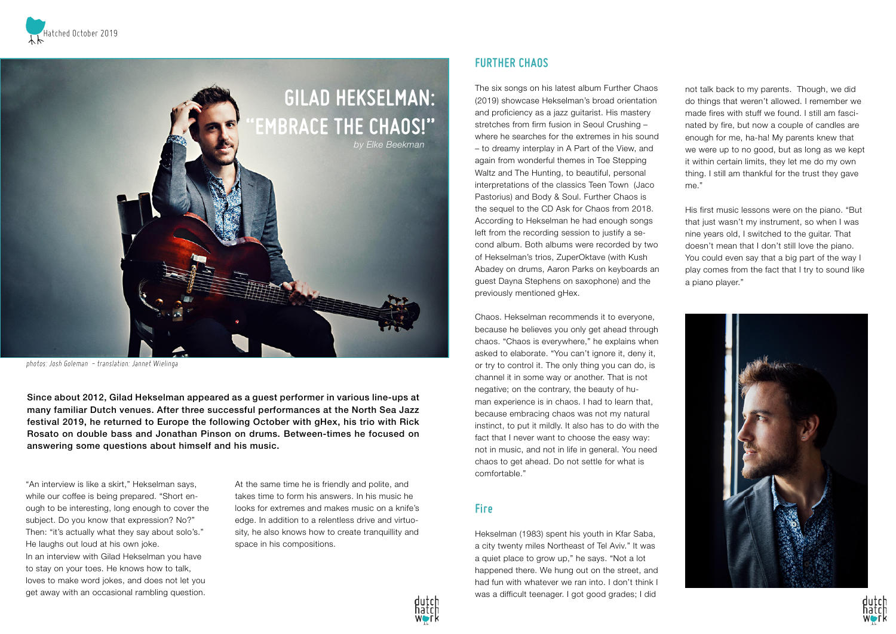

Since about 2012, Gilad Hekselman appeared as a guest performer in various line-ups at many familiar Dutch venues. After three successful performances at the North Sea Jazz festival 2019, he returned to Europe the following October with gHex, his trio with Rick Rosato on double bass and Jonathan Pinson on drums. Between-times he focused on answering some questions about himself and his music.



photos: Josh Goleman - translation: Jannet Wielinga

"An interview is like a skirt," Hekselman says, while our coffee is being prepared. "Short enough to be interesting, long enough to cover the subject. Do you know that expression? No?" Then: "it's actually what they say about solo's." He laughs out loud at his own joke. In an interview with Gilad Hekselman you have to stay on your toes. He knows how to talk, loves to make word jokes, and does not let you get away with an occasional rambling question.

At the same time he is friendly and polite, and takes time to form his answers. In his music he looks for extremes and makes music on a knife's edge. In addition to a relentless drive and virtuosity, he also knows how to create tranquillity and space in his compositions.



## **FURTHER CHAOS**

The six songs on his latest album Further Chaos (2019) showcase Hekselman's broad orientation and proficiency as a jazz guitarist. His mastery stretches from firm fusion in Seoul Crushing – where he searches for the extremes in his sound – to dreamy interplay in A Part of the View, and again from wonderful themes in Toe Stepping Waltz and The Hunting, to beautiful, personal interpretations of the classics Teen Town (Jaco Pastorius) and Body & Soul. Further Chaos is the sequel to the CD Ask for Chaos from 2018. According to Hekselman he had enough songs left from the recording session to justify a second album. Both albums were recorded by two of Hekselman's trios, ZuperOktave (with Kush Abadey on drums, Aaron Parks on keyboards an guest Dayna Stephens on saxophone) and the previously mentioned gHex.

Chaos. Hekselman recommends it to everyone, because he believes you only get ahead through chaos. "Chaos is everywhere," he explains when asked to elaborate. "You can't ignore it, deny it, or try to control it. The only thing you can do, is channel it in some way or another. That is not negative; on the contrary, the beauty of human experience is in chaos. I had to learn that, because embracing chaos was not my natural instinct, to put it mildly. It also has to do with the fact that I never want to choose the easy way: not in music, and not in life in general. You need chaos to get ahead. Do not settle for what is comfortable."

## **Fire**

Hekselman (1983) spent his youth in Kfar Saba, a city twenty miles Northeast of Tel Aviv." It was a quiet place to grow up," he says. "Not a lot happened there. We hung out on the street, and had fun with whatever we ran into. I don't think I was a difficult teenager. I got good grades; I did

not talk back to my parents. Though, we did do things that weren't allowed. I remember we made fires with stuff we found. I still am fascinated by fire, but now a couple of candles are enough for me, ha-ha! My parents knew that we were up to no good, but as long as we kept it within certain limits, they let me do my own thing. I still am thankful for the trust they gave me."

His first music lessons were on the piano. "But that just wasn't my instrument, so when I was nine years old, I switched to the guitar. That doesn't mean that I don't still love the piano. You could even say that a big part of the way I play comes from the fact that I try to sound like a piano player."